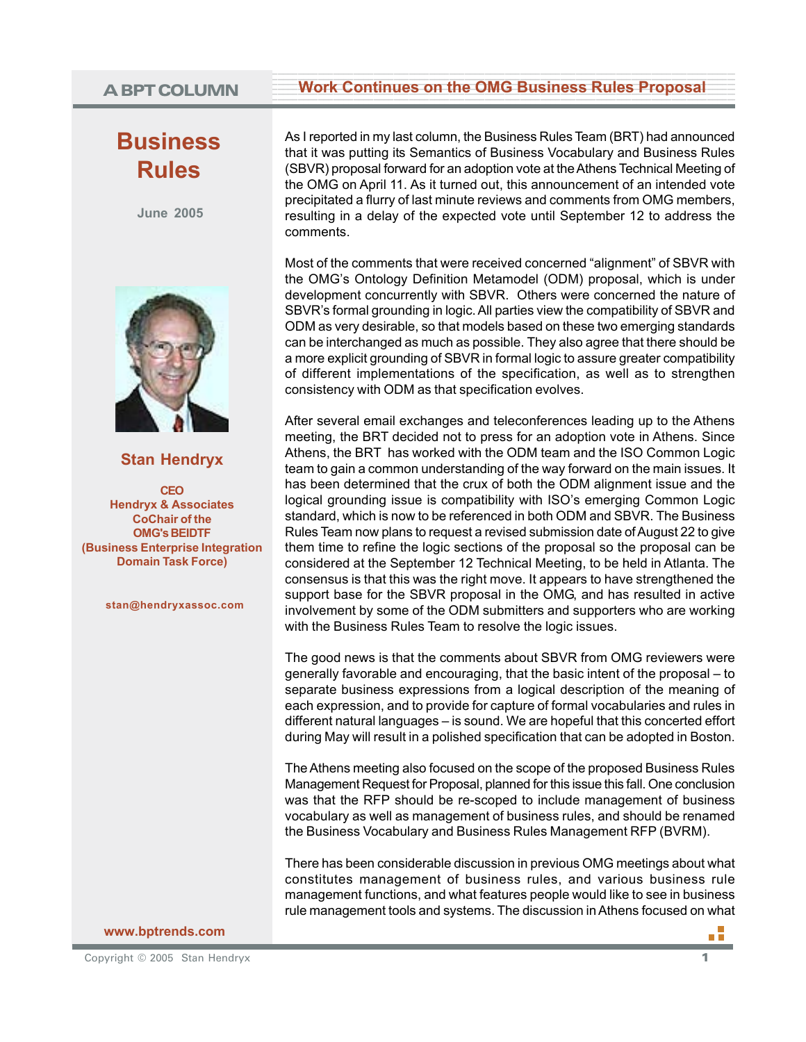## **Business Rules**

**June 2005**



**Stan Hendryx**

**CEO Hendryx & Associates CoChair of the OMG's BEIDTF (Business Enterprise Integration Domain Task Force)**

**stan@hendryxassoc.com**

### **www.bptrends.com**

# A BPT COLUMN Work Continues on the OMG Business Rules Proposal

As I reported in my last column, the Business Rules Team (BRT) had announced that it was putting its Semantics of Business Vocabulary and Business Rules (SBVR) proposal forward for an adoption vote at the Athens Technical Meeting of the OMG on April 11. As it turned out, this announcement of an intended vote precipitated a flurry of last minute reviews and comments from OMG members, resulting in a delay of the expected vote until September 12 to address the comments.

Most of the comments that were received concerned "alignment" of SBVR with the OMG's Ontology Definition Metamodel (ODM) proposal, which is under development concurrently with SBVR. Others were concerned the nature of SBVR's formal grounding in logic. All parties view the compatibility of SBVR and ODM as very desirable, so that models based on these two emerging standards can be interchanged as much as possible. They also agree that there should be a more explicit grounding of SBVR in formal logic to assure greater compatibility of different implementations of the specification, as well as to strengthen consistency with ODM as that specification evolves.

After several email exchanges and teleconferences leading up to the Athens meeting, the BRT decided not to press for an adoption vote in Athens. Since Athens, the BRT has worked with the ODM team and the ISO Common Logic team to gain a common understanding of the way forward on the main issues. It has been determined that the crux of both the ODM alignment issue and the logical grounding issue is compatibility with ISO's emerging Common Logic standard, which is now to be referenced in both ODM and SBVR. The Business Rules Team now plans to request a revised submission date of August 22 to give them time to refine the logic sections of the proposal so the proposal can be considered at the September 12 Technical Meeting, to be held in Atlanta. The consensus is that this was the right move. It appears to have strengthened the support base for the SBVR proposal in the OMG, and has resulted in active involvement by some of the ODM submitters and supporters who are working with the Business Rules Team to resolve the logic issues.

The good news is that the comments about SBVR from OMG reviewers were generally favorable and encouraging, that the basic intent of the proposal – to separate business expressions from a logical description of the meaning of each expression, and to provide for capture of formal vocabularies and rules in different natural languages – is sound. We are hopeful that this concerted effort during May will result in a polished specification that can be adopted in Boston.

The Athens meeting also focused on the scope of the proposed Business Rules Management Request for Proposal, planned for this issue this fall. One conclusion was that the RFP should be re-scoped to include management of business vocabulary as well as management of business rules, and should be renamed the Business Vocabulary and Business Rules Management RFP (BVRM).

There has been considerable discussion in previous OMG meetings about what constitutes management of business rules, and various business rule management functions, and what features people would like to see in business rule management tools and systems. The discussion in Athens focused on what